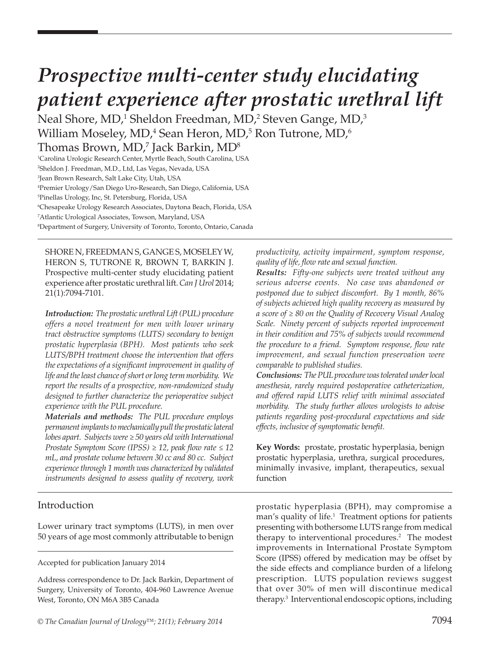# *Prospective multi-center study elucidating patient experience after prostatic urethral lift*

Neal Shore, MD, $^1$  Sheldon Freedman, MD, $^2$  Steven Gange, MD, $^3$ William Moseley, MD,<sup>4</sup> Sean Heron, MD,<sup>5</sup> Ron Tutrone, MD,<sup>6</sup>

Thomas Brown, MD, $^7$  Jack Barkin, MD $^8$ 1 Carolina Urologic Research Center, Myrtle Beach, South Carolina, USA 2 Sheldon J. Freedman, M.D., Ltd, Las Vegas, Nevada, USA

3 Jean Brown Research, Salt Lake City, Utah, USA

4 Premier Urology/San Diego Uro-Research, San Diego, California, USA

5 Pinellas Urology, Inc, St. Petersburg, Florida, USA

6 Chesapeake Urology Research Associates, Daytona Beach, Florida, USA

7 Atlantic Urological Associates, Towson, Maryland, USA

8 Department of Surgery, University of Toronto, Toronto, Ontario, Canada

SHORE N, FREEDMAN S, GANGE S, MOSELEY W, HERON S, TUTRONE R, BROWN T, BARKIN J. Prospective multi-center study elucidating patient experience after prostatic urethral lift. *Can J Urol* 2014; 21(1):7094-7101.

*Introduction: The prostatic urethral Lift (PUL) procedure offers a novel treatment for men with lower urinary tract obstructive symptoms (LUTS) secondary to benign prostatic hyperplasia (BPH). Most patients who seek LUTS/BPH treatment choose the intervention that offers the expectations of a significant improvement in quality of life and the least chance of short or long term morbidity. We report the results of a prospective, non-randomized study designed to further characterize the perioperative subject experience with the PUL procedure.*

*Materials and methods: The PUL procedure employs permanent implants to mechanically pull the prostatic lateral lobes apart. Subjects were ≥ 50 years old with International Prostate Symptom Score (IPSS) ≥ 12, peak flow rate ≤ 12 mL, and prostate volume between 30 cc and 80 cc. Subject experience through 1 month was characterized by validated instruments designed to assess quality of recovery, work*  *productivity, activity impairment, symptom response, quality of life, flow rate and sexual function.*

*Results: Fifty-one subjects were treated without any serious adverse events. No case was abandoned or postponed due to subject discomfort. By 1 month, 86% of subjects achieved high quality recovery as measured by a score of ≥ 80 on the Quality of Recovery Visual Analog Scale. Ninety percent of subjects reported improvement in their condition and 75% of subjects would recommend the procedure to a friend. Symptom response, flow rate improvement, and sexual function preservation were comparable to published studies.*

*Conclusions: The PUL procedure was tolerated under local anesthesia, rarely required postoperative catheterization, and offered rapid LUTS relief with minimal associated morbidity. The study further allows urologists to advise patients regarding post-procedural expectations and side effects, inclusive of symptomatic benefit.*

**Key Words:** prostate, prostatic hyperplasia, benign prostatic hyperplasia, urethra, surgical procedures, minimally invasive, implant, therapeutics, sexual function

# Introduction

Lower urinary tract symptoms (LUTS), in men over 50 years of age most commonly attributable to benign

Accepted for publication January 2014

Address correspondence to Dr. Jack Barkin, Department of Surgery, University of Toronto, 404-960 Lawrence Avenue West, Toronto, ON M6A 3B5 Canada

prostatic hyperplasia (BPH), may compromise a man's quality of life.<sup>1</sup> Treatment options for patients presenting with bothersome LUTS range from medical therapy to interventional procedures.<sup>2</sup> The modest improvements in International Prostate Symptom Score (IPSS) offered by medication may be offset by the side effects and compliance burden of a lifelong prescription. LUTS population reviews suggest that over 30% of men will discontinue medical therapy.3 Interventional endoscopic options, including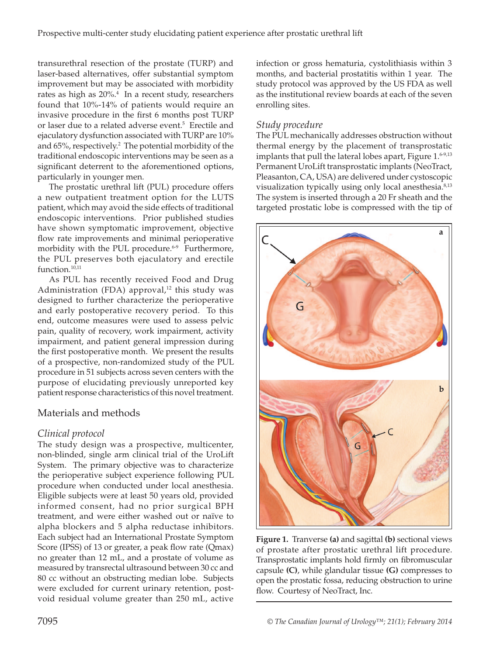transurethral resection of the prostate (TURP) and laser-based alternatives, offer substantial symptom improvement but may be associated with morbidity rates as high as  $20\%$ <sup>4</sup> In a recent study, researchers found that 10%-14% of patients would require an invasive procedure in the first 6 months post TURP or laser due to a related adverse event.<sup>5</sup> Erectile and ejaculatory dysfunction associated with TURP are 10% and 65%, respectively.<sup>2</sup> The potential morbidity of the traditional endoscopic interventions may be seen as a significant deterrent to the aforementioned options, particularly in younger men.

The prostatic urethral lift (PUL) procedure offers a new outpatient treatment option for the LUTS patient, which may avoid the side effects of traditional endoscopic interventions. Prior published studies have shown symptomatic improvement, objective flow rate improvements and minimal perioperative morbidity with the PUL procedure.<sup>6-9</sup> Furthermore, the PUL preserves both ejaculatory and erectile function.<sup>10,11</sup>

As PUL has recently received Food and Drug Administration (FDA) approval, $12$  this study was designed to further characterize the perioperative and early postoperative recovery period. To this end, outcome measures were used to assess pelvic pain, quality of recovery, work impairment, activity impairment, and patient general impression during the first postoperative month. We present the results of a prospective, non-randomized study of the PUL procedure in 51 subjects across seven centers with the purpose of elucidating previously unreported key patient response characteristics of this novel treatment.

# Materials and methods

# *Clinical protocol*

The study design was a prospective, multicenter, non-blinded, single arm clinical trial of the UroLift System. The primary objective was to characterize the perioperative subject experience following PUL procedure when conducted under local anesthesia. Eligible subjects were at least 50 years old, provided informed consent, had no prior surgical BPH treatment, and were either washed out or naïve to alpha blockers and 5 alpha reductase inhibitors. Each subject had an International Prostate Symptom Score (IPSS) of 13 or greater, a peak flow rate (Qmax) no greater than 12 mL, and a prostate of volume as measured by transrectal ultrasound between 30 cc and 80 cc without an obstructing median lobe. Subjects were excluded for current urinary retention, postvoid residual volume greater than 250 mL, active

infection or gross hematuria, cystolithiasis within 3 months, and bacterial prostatitis within 1 year. The study protocol was approved by the US FDA as well as the institutional review boards at each of the seven enrolling sites.

## *Study procedure*

The PUL mechanically addresses obstruction without thermal energy by the placement of transprostatic implants that pull the lateral lobes apart, Figure 1.<sup>6-9,13</sup> Permanent UroLift transprostatic implants (NeoTract, Pleasanton, CA, USA) are delivered under cystoscopic visualization typically using only local anesthesia.<sup>8,13</sup> The system is inserted through a 20 Fr sheath and the targeted prostatic lobe is compressed with the tip of



**Figure 1.** Tranverse **(a)** and sagittal **(b)** sectional views of prostate after prostatic urethral lift procedure. Transprostatic implants hold firmly on fibromuscular capsule **(C)**, while glandular tissue **(G)** compresses to open the prostatic fossa, reducing obstruction to urine flow. Courtesy of NeoTract, Inc.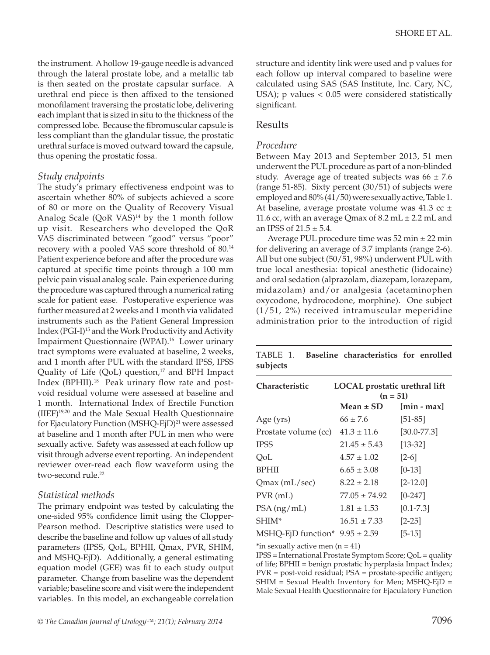the instrument. A hollow 19-gauge needle is advanced through the lateral prostate lobe, and a metallic tab is then seated on the prostate capsular surface. A urethral end piece is then affixed to the tensioned monofilament traversing the prostatic lobe, delivering each implant that is sized in situ to the thickness of the compressed lobe. Because the fibromuscular capsule is less compliant than the glandular tissue, the prostatic urethral surface is moved outward toward the capsule, thus opening the prostatic fossa.

#### *Study endpoints*

The study's primary effectiveness endpoint was to ascertain whether 80% of subjects achieved a score of 80 or more on the Quality of Recovery Visual Analog Scale (QoR VAS)<sup>14</sup> by the 1 month follow up visit. Researchers who developed the QoR VAS discriminated between "good" versus "poor" recovery with a pooled VAS score threshold of 80.14 Patient experience before and after the procedure was captured at specific time points through a 100 mm pelvic pain visual analog scale. Pain experience during the procedure was captured through a numerical rating scale for patient ease. Postoperative experience was further measured at 2 weeks and 1 month via validated instruments such as the Patient General Impression Index (PGI-I)15 and the Work Productivity and Activity Impairment Questionnaire (WPAI).<sup>16</sup> Lower urinary tract symptoms were evaluated at baseline, 2 weeks, and 1 month after PUL with the standard IPSS, IPSS Quality of Life  $(QoL)$  question,<sup>17</sup> and BPH Impact Index (BPHII).18 Peak urinary flow rate and postvoid residual volume were assessed at baseline and 1 month. International Index of Erectile Function (IIEF)19,20 and the Male Sexual Health Questionnaire for Ejaculatory Function (MSHQ-EjD)<sup>21</sup> were assessed at baseline and 1 month after PUL in men who were sexually active. Safety was assessed at each follow up visit through adverse event reporting. An independent reviewer over-read each flow waveform using the two-second rule.<sup>22</sup>

#### *Statistical methods*

The primary endpoint was tested by calculating the one-sided 95% confidence limit using the Clopper-Pearson method. Descriptive statistics were used to describe the baseline and follow up values of all study parameters (IPSS, QoL, BPHII, Qmax, PVR, SHIM, and MSHQ-EjD). Additionally, a general estimating equation model (GEE) was fit to each study output parameter. Change from baseline was the dependent variable; baseline score and visit were the independent variables. In this model, an exchangeable correlation

structure and identity link were used and p values for each follow up interval compared to baseline were calculated using SAS (SAS Institute, Inc. Cary, NC, USA); p values < 0.05 were considered statistically significant.

### Results

#### *Procedure*

Between May 2013 and September 2013, 51 men underwent the PUL procedure as part of a non-blinded study. Average age of treated subjects was  $66 \pm 7.6$ (range 51-85). Sixty percent (30/51) of subjects were employed and 80% (41/50) were sexually active, Table 1. At baseline, average prostate volume was  $41.3$  cc  $\pm$ 11.6 cc, with an average Qmax of  $8.2$  mL  $\pm$  2.2 mL and an IPSS of  $21.5 \pm 5.4$ .

Average PUL procedure time was  $52$  min  $\pm 22$  min for delivering an average of 3.7 implants (range 2-6). All but one subject (50/51, 98%) underwent PUL with true local anesthesia: topical anesthetic (lidocaine) and oral sedation (alprazolam, diazepam, lorazepam, midazolam) and/or analgesia (acetaminophen oxycodone, hydrocodone, morphine). One subject (1/51, 2%) received intramuscular meperidine administration prior to the introduction of rigid

TABLE 1. **Baseline characteristics for enrolled subjects** 

| <b>Characteristic</b>              | LOCAL prostatic urethral lift<br>$(n = 51)$ |                 |  |  |  |
|------------------------------------|---------------------------------------------|-----------------|--|--|--|
|                                    | Mean $\pm$ SD                               | $[min - max]$   |  |  |  |
| Age (yrs)                          | $66 \pm 7.6$                                | $[51-85]$       |  |  |  |
| Prostate volume (cc)               | $41.3 \pm 11.6$                             | $[30.0 - 77.3]$ |  |  |  |
| <b>IPSS</b>                        | $21.45 \pm 5.43$                            | $[13 - 32]$     |  |  |  |
| OoL                                | $4.57 \pm 1.02$                             | $[2-6]$         |  |  |  |
| <b>BPHII</b>                       | $6.65 \pm 3.08$                             | $[0-13]$        |  |  |  |
| $Qmax$ (mL/sec)                    | $8.22 \pm 2.18$                             | $[2 - 12.0]$    |  |  |  |
| $PVR$ (mL)                         | $77.05 \pm 74.92$                           | $[0-247]$       |  |  |  |
| $PSA$ (ng/mL)                      | $1.81 \pm 1.53$                             | $[0.1 - 7.3]$   |  |  |  |
| SHIM*                              | $16.51 \pm 7.33$                            | $[2-25]$        |  |  |  |
| MSHQ-EjD function* $9.95 \pm 2.59$ |                                             | $[5-15]$        |  |  |  |

\*in sexually active men  $(n = 41)$ 

IPSS = International Prostate Symptom Score; QoL = quality of life; BPHII = benign prostatic hyperplasia Impact Index; PVR = post-void residual; PSA = prostate-specific antigen; SHIM = Sexual Health Inventory for Men; MSHQ-EjD = Male Sexual Health Questionnaire for Ejaculatory Function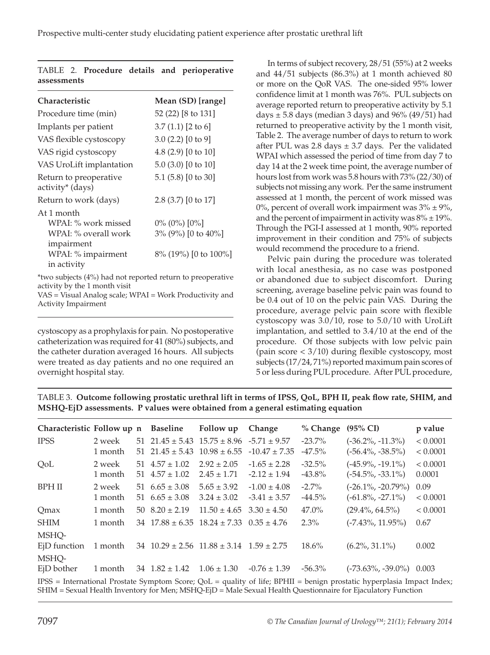| Mean (SD) [range]                                             |
|---------------------------------------------------------------|
| 52 (22) [8 to 131]                                            |
| $3.7(1.1)$ [2 to 6]                                           |
| $3.0(2.2)$ [0 to 9]                                           |
| 4.8 $(2.9)$ [0 to 10]                                         |
| 5.0 (3.0) [0 to 10]                                           |
| 5.1 $(5.8)$ [0 to 30]                                         |
| 2.8 (3.7) [0 to 17]                                           |
| $0\%$ (0%) [0%]<br>3% (9%) [0 to 40%]<br>8% (19%) [0 to 100%] |
|                                                               |

|             |  |  | TABLE 2. Procedure details and perioperative |
|-------------|--|--|----------------------------------------------|
| assessments |  |  |                                              |

\*two subjects (4%) had not reported return to preoperative activity by the 1 month visit

VAS = Visual Analog scale; WPAI = Work Productivity and Activity Impairment

cystoscopy as a prophylaxis for pain. No postoperative catheterization was required for 41 (80%) subjects, and the catheter duration averaged 16 hours. All subjects were treated as day patients and no one required an overnight hospital stay.

In terms of subject recovery, 28/51 (55%) at 2 weeks and 44/51 subjects (86.3%) at 1 month achieved 80 or more on the QoR VAS. The one-sided 95% lower confidence limit at 1 month was 76%. PUL subjects on average reported return to preoperative activity by 5.1 days  $\pm$  5.8 days (median 3 days) and 96% (49/51) had returned to preoperative activity by the 1 month visit, Table 2. The average number of days to return to work after PUL was 2.8 days  $\pm$  3.7 days. Per the validated WPAI which assessed the period of time from day 7 to day 14 at the 2 week time point, the average number of hours lost from work was 5.8 hours with 73% (22/30) of subjects not missing any work. Per the same instrument assessed at 1 month, the percent of work missed was 0%, percent of overall work impairment was  $3\% \pm 9\%$ , and the percent of impairment in activity was  $8\% \pm 19\%$ . Through the PGI-I assessed at 1 month, 90% reported improvement in their condition and 75% of subjects would recommend the procedure to a friend.

Pelvic pain during the procedure was tolerated with local anesthesia, as no case was postponed or abandoned due to subject discomfort. During screening, average baseline pelvic pain was found to be 0.4 out of 10 on the pelvic pain VAS. During the procedure, average pelvic pain score with flexible cystoscopy was 3.0/10, rose to 5.0/10 with UroLift implantation, and settled to 3.4/10 at the end of the procedure. Of those subjects with low pelvic pain (pain score < 3/10) during flexible cystoscopy, most subjects (17/24, 71%) reported maximum pain scores of 5 or less during PUL procedure. After PUL procedure,

TABLE 3. **Outcome following prostatic urethral lift in terms of IPSS, QoL, BPH II, peak flow rate, SHIM, and MSHQ-EjD assessments. P values were obtained from a general estimating equation** 

| Characteristic Follow up n Baseline                                                                                                                                                                                                                                                                         |         |                          | Follow up                                              | Change                                                 | % Change  | $(95\% \text{ CI})$         | p value  |
|-------------------------------------------------------------------------------------------------------------------------------------------------------------------------------------------------------------------------------------------------------------------------------------------------------------|---------|--------------------------|--------------------------------------------------------|--------------------------------------------------------|-----------|-----------------------------|----------|
| <b>IPSS</b>                                                                                                                                                                                                                                                                                                 | 2 week  |                          | 51 $21.45 \pm 5.43$ $15.75 \pm 8.96$ $-5.71 \pm 9.57$  |                                                        | $-23.7\%$ | $(-36.2\%,-11.3\%)$         | < 0.0001 |
|                                                                                                                                                                                                                                                                                                             | 1 month |                          |                                                        | 51 $21.45 \pm 5.43$ $10.98 \pm 6.55$ $-10.47 \pm 7.35$ | $-47.5\%$ | $(-56.4\%, -38.5\%)$        | < 0.0001 |
| QoL                                                                                                                                                                                                                                                                                                         | 2 week  | $51 \quad 4.57 \pm 1.02$ | $2.92 \pm 2.05$                                        | $-1.65 \pm 2.28$                                       | $-32.5%$  | $(-45.9\%, -19.1\%)$        | < 0.0001 |
|                                                                                                                                                                                                                                                                                                             | 1 month | $51 \quad 4.57 \pm 1.02$ | $2.45 \pm 1.71$                                        | $-2.12 \pm 1.94$                                       | $-43.8\%$ | $(-54.5\%, -33.1\%)$        | 0.0001   |
| <b>BPH II</b>                                                                                                                                                                                                                                                                                               | 2 week  | $51\quad 6.65 \pm 3.08$  | $5.65 \pm 3.92$                                        | $-1.00 \pm 4.08$                                       | $-2.7\%$  | $(-26.1\%,-20.79\%)$        | 0.09     |
|                                                                                                                                                                                                                                                                                                             | 1 month | 51 $6.65 \pm 3.08$       | $3.24 \pm 3.02$                                        | $-3.41 \pm 3.57$                                       | $-44.5\%$ | $(-61.8\%,-27.1\%)$         | < 0.0001 |
| Qmax                                                                                                                                                                                                                                                                                                        | 1 month | $50 \quad 8.20 \pm 2.19$ | $11.50 \pm 4.65$ $3.30 \pm 4.50$                       |                                                        | 47.0%     | $(29.4\%, 64.5\%)$          | < 0.0001 |
| <b>SHIM</b>                                                                                                                                                                                                                                                                                                 | 1 month |                          | $34$ 17.88 ± 6.35 18.24 ± 7.33 0.35 ± 4.76             |                                                        | $2.3\%$   | $(-7.43\%, 11.95\%)$        | 0.67     |
| MSHO-                                                                                                                                                                                                                                                                                                       |         |                          |                                                        |                                                        |           |                             |          |
| EjD function                                                                                                                                                                                                                                                                                                | 1 month |                          | $34$ $10.29 \pm 2.56$ $11.88 \pm 3.14$ $1.59 \pm 2.75$ |                                                        | $18.6\%$  | $(6.2\%, 31.1\%)$           | 0.002    |
| MSHQ-                                                                                                                                                                                                                                                                                                       |         |                          |                                                        |                                                        |           |                             |          |
| EjD bother                                                                                                                                                                                                                                                                                                  | 1 month | $34$ $1.82 \pm 1.42$     | $1.06 \pm 1.30$                                        | $-0.76 \pm 1.39$                                       | $-56.3\%$ | $(-73.63\%, -39.0\%)$ 0.003 |          |
| $\mathbf{v}$ , $\mathbf{v}$ , $\mathbf{v}$ , $\mathbf{v}$ , $\mathbf{v}$ , $\mathbf{v}$ , $\mathbf{v}$ , $\mathbf{v}$ , $\mathbf{v}$ , $\mathbf{v}$ , $\mathbf{v}$ , $\mathbf{v}$ , $\mathbf{v}$ , $\mathbf{v}$ , $\mathbf{v}$ , $\mathbf{v}$ , $\mathbf{v}$ , $\mathbf{v}$ , $\mathbf{v}$ , $\mathbf{v}$ , |         |                          |                                                        |                                                        |           |                             |          |

IPSS = International Prostate Symptom Score; QoL = quality of life; BPHII = benign prostatic hyperplasia Impact Index; SHIM = Sexual Health Inventory for Men; MSHQ-EjD = Male Sexual Health Questionnaire for Ejaculatory Function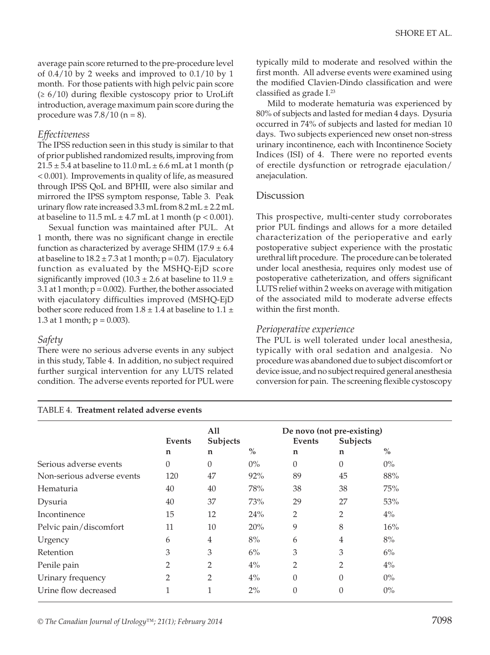average pain score returned to the pre-procedure level of 0.4/10 by 2 weeks and improved to 0.1/10 by 1 month. For those patients with high pelvic pain score  $(≥ 6/10)$  during flexible cystoscopy prior to UroLift introduction, average maximum pain score during the procedure was  $7.8/10$  (n = 8).

#### *Effectiveness*

The IPSS reduction seen in this study is similar to that of prior published randomized results, improving from  $21.5 \pm 5.4$  at baseline to 11.0 mL  $\pm$  6.6 mL at 1 month (p < 0.001). Improvements in quality of life, as measured through IPSS QoL and BPHII, were also similar and mirrored the IPSS symptom response, Table 3. Peak urinary flow rate increased  $3.3$  mL from  $8.2$  mL  $\pm$  2.2 mL at baseline to  $11.5$  mL  $\pm$  4.7 mL at 1 month ( $p < 0.001$ ).

Sexual function was maintained after PUL. At 1 month, there was no significant change in erectile function as characterized by average SHIM (17.9  $\pm$  6.4 at baseline to  $18.2 \pm 7.3$  at 1 month;  $p = 0.7$ ). Ejaculatory function as evaluated by the MSHQ-EjD score significantly improved (10.3  $\pm$  2.6 at baseline to 11.9  $\pm$ 3.1 at 1 month;  $p = 0.002$ ). Further, the bother associated with ejaculatory difficulties improved (MSHQ-EjD bother score reduced from  $1.8 \pm 1.4$  at baseline to  $1.1 \pm$ 1.3 at 1 month;  $p = 0.003$ ).

#### *Safety*

There were no serious adverse events in any subject in this study, Table 4. In addition, no subject required further surgical intervention for any LUTS related condition. The adverse events reported for PUL were

#### TABLE 4. **Treatment related adverse events**

typically mild to moderate and resolved within the first month. All adverse events were examined using the modified Clavien-Dindo classification and were classified as grade I.23

Mild to moderate hematuria was experienced by 80% of subjects and lasted for median 4 days. Dysuria occurred in 74% of subjects and lasted for median 10 days. Two subjects experienced new onset non-stress urinary incontinence, each with Incontinence Society Indices (ISI) of 4. There were no reported events of erectile dysfunction or retrograde ejaculation/ anejaculation.

#### **Discussion**

This prospective, multi-center study corroborates prior PUL findings and allows for a more detailed characterization of the perioperative and early postoperative subject experience with the prostatic urethral lift procedure. The procedure can be tolerated under local anesthesia, requires only modest use of postoperative catheterization, and offers significant LUTS relief within 2 weeks on average with mitigation of the associated mild to moderate adverse effects within the first month.

#### *Perioperative experience*

The PUL is well tolerated under local anesthesia, typically with oral sedation and analgesia. No procedure was abandoned due to subject discomfort or device issue, and no subject required general anesthesia conversion for pain. The screening flexible cystoscopy

|                            |          | All<br>Subjects |       | De novo (not pre-existing) |          |               |
|----------------------------|----------|-----------------|-------|----------------------------|----------|---------------|
|                            | Events   |                 |       | Events                     | Subjects |               |
|                            | n        | n               | $\%$  | n                          | n        | $\frac{0}{0}$ |
| Serious adverse events     | $\theta$ | $\theta$        | $0\%$ | $\theta$                   | $\Omega$ | $0\%$         |
| Non-serious adverse events | 120      | 47              | 92%   | 89                         | 45       | 88%           |
| Hematuria                  | 40       | 40              | 78%   | 38                         | 38       | 75%           |
| Dysuria                    | 40       | 37              | 73%   | 29                         | 27       | 53%           |
| Incontinence               | 15       | 12              | 24%   | $\overline{2}$             | 2        | $4\%$         |
| Pelvic pain/discomfort     | 11       | 10              | 20%   | 9                          | 8        | 16%           |
| Urgency                    | 6        | 4               | 8%    | 6                          | 4        | 8%            |
| Retention                  | 3        | 3               | $6\%$ | 3                          | 3        | $6\%$         |
| Penile pain                | 2        | $\overline{2}$  | $4\%$ | $\overline{2}$             | 2        | $4\%$         |
| Urinary frequency          | 2        | 2               | $4\%$ | $\theta$                   | $\Omega$ | $0\%$         |
| Urine flow decreased       | 1        | 1               | $2\%$ | $\boldsymbol{0}$           | $\theta$ | $0\%$         |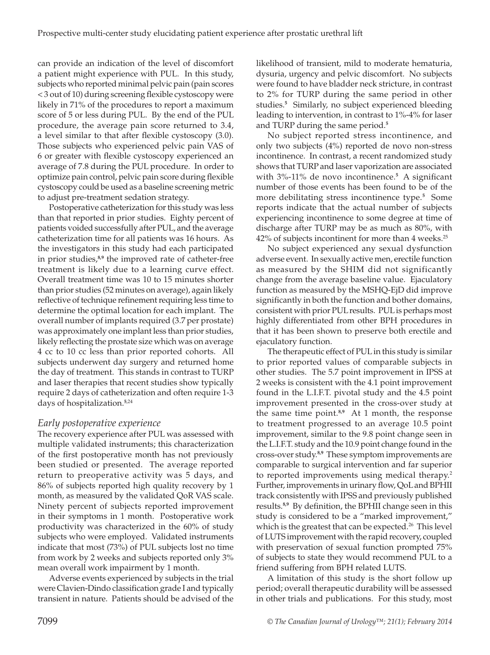can provide an indication of the level of discomfort a patient might experience with PUL. In this study, subjects who reported minimal pelvic pain (pain scores < 3 out of 10) during screening flexible cystoscopy were likely in 71% of the procedures to report a maximum score of 5 or less during PUL. By the end of the PUL procedure, the average pain score returned to 3.4, a level similar to that after flexible cystoscopy (3.0). Those subjects who experienced pelvic pain VAS of 6 or greater with flexible cystoscopy experienced an average of 7.8 during the PUL procedure. In order to optimize pain control, pelvic pain score during flexible cystoscopy could be used as a baseline screening metric to adjust pre-treatment sedation strategy.

Postoperative catheterization for this study was less than that reported in prior studies. Eighty percent of patients voided successfully after PUL, and the average catheterization time for all patients was 16 hours. As the investigators in this study had each participated in prior studies,**8,9** the improved rate of catheter-free treatment is likely due to a learning curve effect. Overall treatment time was 10 to 15 minutes shorter than prior studies (52 minutes on average), again likely reflective of technique refinement requiring less time to determine the optimal location for each implant. The overall number of implants required (3.7 per prostate) was approximately one implant less than prior studies, likely reflecting the prostate size which was on average 4 cc to 10 cc less than prior reported cohorts. All subjects underwent day surgery and returned home the day of treatment. This stands in contrast to TURP and laser therapies that recent studies show typically require 2 days of catheterization and often require 1-3 days of hospitalization.**<sup>5</sup>**,24

# *Early postoperative experience*

The recovery experience after PUL was assessed with multiple validated instruments; this characterization of the first postoperative month has not previously been studied or presented. The average reported return to preoperative activity was 5 days, and 86% of subjects reported high quality recovery by 1 month, as measured by the validated QoR VAS scale. Ninety percent of subjects reported improvement in their symptoms in 1 month. Postoperative work productivity was characterized in the 60% of study subjects who were employed. Validated instruments indicate that most (73%) of PUL subjects lost no time from work by 2 weeks and subjects reported only 3% mean overall work impairment by 1 month.

Adverse events experienced by subjects in the trial were Clavien-Dindo classification grade I and typically transient in nature. Patients should be advised of the

likelihood of transient, mild to moderate hematuria, dysuria, urgency and pelvic discomfort. No subjects were found to have bladder neck stricture, in contrast to 2% for TURP during the same period in other studies.**<sup>5</sup>** Similarly, no subject experienced bleeding leading to intervention, in contrast to 1%-4% for laser and TURP during the same period.**<sup>5</sup>**

No subject reported stress incontinence, and only two subjects (4%) reported de novo non-stress incontinence. In contrast, a recent randomized study shows that TURP and laser vaporization are associated with 3%-11% de novo incontinence.**<sup>5</sup>**A significant number of those events has been found to be of the more debilitating stress incontinence type.**<sup>5</sup>** Some reports indicate that the actual number of subjects experiencing incontinence to some degree at time of discharge after TURP may be as much as 80%, with 42% of subjects incontinent for more than 4 weeks.<sup>25</sup>

No subject experienced any sexual dysfunction adverse event. In sexually active men, erectile function as measured by the SHIM did not significantly change from the average baseline value. Ejaculatory function as measured by the MSHQ-EjD did improve significantly in both the function and bother domains, consistent with prior PUL results. PUL is perhaps most highly differentiated from other BPH procedures in that it has been shown to preserve both erectile and ejaculatory function.

The therapeutic effect of PUL in this study is similar to prior reported values of comparable subjects in other studies. The 5.7 point improvement in IPSS at 2 weeks is consistent with the 4.1 point improvement found in the L.I.F.T. pivotal study and the 4.5 point improvement presented in the cross-over study at the same time point.**8,9** At 1 month, the response to treatment progressed to an average 10.5 point improvement, similar to the 9.8 point change seen in the L.I.F.T. study and the 10.9 point change found in the cross-over study.**8,9** These symptom improvements are comparable to surgical intervention and far superior to reported improvements using medical therapy.<sup>2</sup> Further, improvements in urinary flow, QoL and BPHII track consistently with IPSS and previously published results.**8,9** By definition, the BPHII change seen in this study is considered to be a "marked improvement," which is the greatest that can be expected.<sup>26</sup> This level of LUTS improvement with the rapid recovery, coupled with preservation of sexual function prompted 75% of subjects to state they would recommend PUL to a friend suffering from BPH related LUTS.

A limitation of this study is the short follow up period; overall therapeutic durability will be assessed in other trials and publications. For this study, most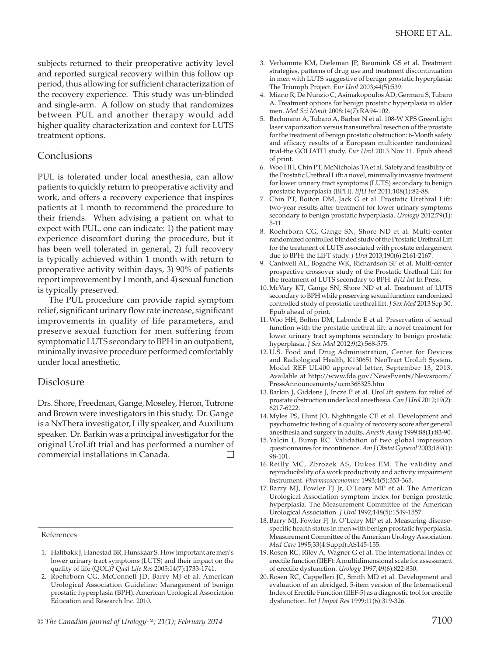subjects returned to their preoperative activity level and reported surgical recovery within this follow up period, thus allowing for sufficient characterization of the recovery experience. This study was un-blinded and single-arm. A follow on study that randomizes between PUL and another therapy would add higher quality characterization and context for LUTS treatment options.

#### Conclusions

PUL is tolerated under local anesthesia, can allow patients to quickly return to preoperative activity and work, and offers a recovery experience that inspires patients at 1 month to recommend the procedure to their friends. When advising a patient on what to expect with PUL, one can indicate: 1) the patient may experience discomfort during the procedure, but it has been well tolerated in general, 2) full recovery is typically achieved within 1 month with return to preoperative activity within days, 3) 90% of patients report improvement by 1 month, and 4) sexual function is typically preserved.

The PUL procedure can provide rapid symptom relief, significant urinary flow rate increase, significant improvements in quality of life parameters, and preserve sexual function for men suffering from symptomatic LUTS secondary to BPH in an outpatient, minimally invasive procedure performed comfortably under local anesthetic.

#### Disclosure

Drs. Shore, Freedman, Gange, Moseley, Heron, Tutrone and Brown were investigators in this study. Dr. Gange is a NxThera investigator, Lilly speaker, and Auxilium speaker. Dr. Barkin was a principal investigator for the original UroLift trial and has performed a number of commercial installations in Canada.  $\Box$ 

References

- 1. Haltbakk J, Hanestad BR, Hunskaar S. How important are men's lower urinary tract symptoms (LUTS) and their impact on the quality of life (QOL)? *Qual Life Res* 2005;14(7):1733-1741.
- 2. Roehrborn CG, McConnell JD, Barry MJ et al. American Urological Association Guideline: Management of benign prostatic hyperplasia (BPH). American Urological Association Education and Research Inc. 2010.
- 3. Verhamme KM, Dieleman JP, Bieumink GS et al. Treatment strategies, patterns of drug use and treatment discontinuation in men with LUTS suggestive of benign prostatic hyperplasia: The Triumph Project. *Eur Urol* 2003;44(5):539.
- 4. Miano R, De Nunzio C, Asimakopoulos AD, Germani S, Tubaro A. Treatment options for benign prostatic hyperplasia in older men. *Med Sci Monit* 2008:14(7):RA94-102.
- 5. Bachmann A, Tubaro A, Barber N et al. 108-W XPS GreenLight laser vaporization versus transurethral resection of the prostate for the treatment of benign prostatic obstruction: 6-Month safety and efficacy results of a European multicenter randomized trial-the GOLIATH study. *Eur Urol* 2013 Nov 11. Epub ahead of print.
- 6. Woo HH, Chin PT, McNicholas TA et al. Safety and feasibility of the Prostatic Urethral Lift: a novel, minimally invasive treatment for lower urinary tract symptoms (LUTS) secondary to benign prostatic hyperplasia (BPH). *BJU Int* 2011;108(1):82-88.
- 7. Chin PT, Boiton DM, Jack G et al. Prostatic Urethral Lift: two-year results after treatment for lower urinary symptoms secondary to benign prostatic hyperplasia. *Urology* 2012;79(1): 5-11.
- 8. Roehrborn CG, Gange SN, Shore ND et al. Multi-center randomized controlled blinded study of the Prostatic Urethral Lift for the treatment of LUTS associated with prostate enlargement due to BPH: the LIFT study. *J Urol* 2013;190(6):2161-2167.
- 9. Cantwell AL, Bogache WK, Richardson SF et al. Multi-center prospective crossover study of the Prostatic Urethral Lift for the treatment of LUTS secondary to BPH. *BJU Int* In Press.
- 10.McVary KT, Gange SN, Shore ND et al. Treatment of LUTS secondary to BPH while preserving sexual function: randomized controlled study of prostatic urethral lift. *J Sex Med* 2013 Sep 30. Epub ahead of print.
- 11. Woo HH, Bolton DM, Laborde E et al. Preservation of sexual function with the prostatic urethral lift: a novel treatment for lower urinary tract symptoms secondary to benign prostatic hyperplasia. *J Sex Med* 2012;9(2):568-575.
- 12. U.S. Food and Drug Administration, Center for Devices and Radiological Health, K130651 NeoTract UroLift System, Model REF UL400 approval letter, September 13, 2013. Available at http://www.fda.gov/NewsEvents/Newsroom/ PressAnnouncements/ucm368325.htm
- 13. Barkin J, Giddens J, Incze P et al. UroLift system for relief of prostate obstruction under local anesthesia. *Can J Urol* 2012;19(2): 6217-6222.
- 14.Myles PS, Hunt JO, Nightingale CE et al. Development and psychometric testing of a quality of recovery score after general anesthesia and surgery in adults. *Anesth Analg* 1999;88(1):83-90.
- 15.Yalcin I, Bump RC. Validation of two global impression questionnaires for incontinence. *Am J Obstet Gynecol* 2003;189(1): 98-101.
- 16.Reilly MC, Zbrozek AS, Dukes EM. The validity and reproducibility of a work productivity and activity impairment instrument. *Pharmacoeconomics* 1993;4(5):353-365.
- 17. Barry MJ, Fowler FJ Jr, O'Leary MP et al. The American Urological Association symptom index for benign prostatic hyperplasia. The Measurement Committee of the American Urological Association. *J Urol* 1992;148(5):1549-1557.
- 18. Barry MJ, Fowler FJ Jr, O'Leary MP et al. Measuring diseasespecific health status in men with benign prostatic hyperplasia. Measurement Committee of the American Urology Association. *Med Care* 1995;33(4 Suppl):AS145-155.
- 19.Rosen RC, Riley A, Wagner G et al. The international index of erectile function (IIEF): A multidimensional scale for assessment of erectile dysfunction. *Urology* 1997;49(6):822-830.
- 20.Rosen RC, Cappelleri JC, Smith MD et al. Development and evaluation of an abridged, 5-item version of the International Index of Erectile Function (IIEF-5) as a diagnostic tool for erectile dysfunction. *Int J Impot Res* 1999;11(6):319-326.